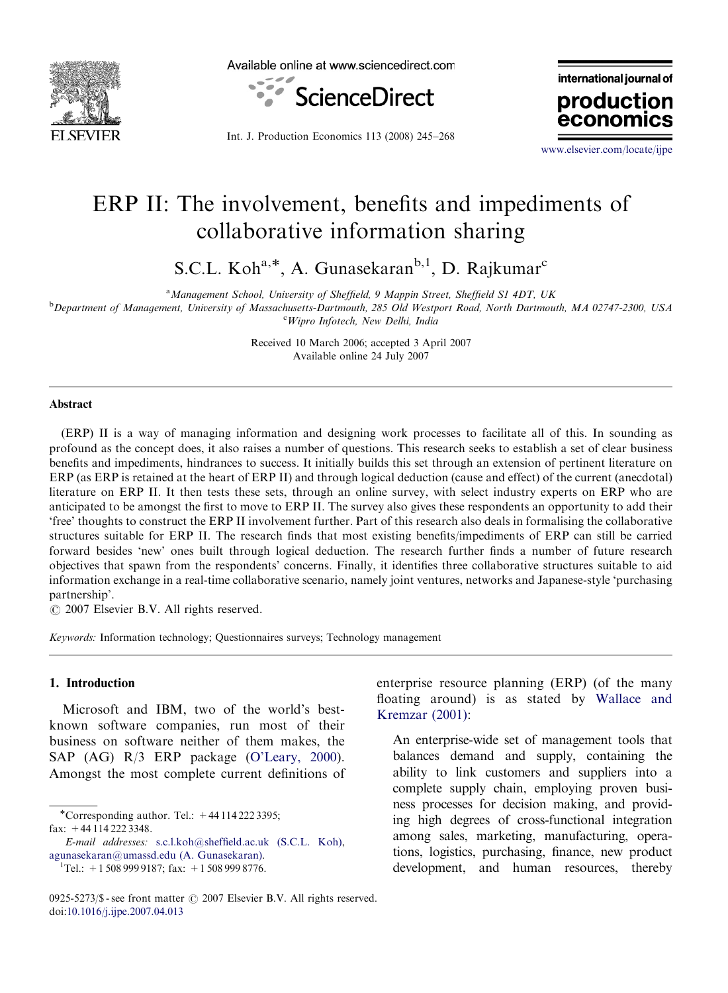

Available online at www.sciencedirect.com



international journal of production

Int. J. Production Economics 113 (2008) 245–268

<www.elsevier.com/locate/ijpe>

econon

## ERP II: The involvement, benefits and impediments of collaborative information sharing

S.C.L. Koh<sup>a,\*</sup>, A. Gunasekaran<sup>b,1</sup>, D. Rajkumar<sup>c</sup>

<sup>a</sup>Management School, University of Sheffield, 9 Mappin Street, Sheffield S1 4DT, UK

**b** Department of Management, University of Massachusetts-Dartmouth, 285 Old Westport Road, North Dartmouth, MA 02747-2300, USA <sup>c</sup>Wipro Infotech, New Delhi, India

> Received 10 March 2006; accepted 3 April 2007 Available online 24 July 2007

## Abstract

(ERP) II is a way of managing information and designing work processes to facilitate all of this. In sounding as profound as the concept does, it also raises a number of questions. This research seeks to establish a set of clear business benefits and impediments, hindrances to success. It initially builds this set through an extension of pertinent literature on ERP (as ERP is retained at the heart of ERP II) and through logical deduction (cause and effect) of the current (anecdotal) literature on ERP II. It then tests these sets, through an online survey, with select industry experts on ERP who are anticipated to be amongst the first to move to ERP II. The survey also gives these respondents an opportunity to add their 'free' thoughts to construct the ERP II involvement further. Part of this research also deals in formalising the collaborative structures suitable for ERP II. The research finds that most existing benefits/impediments of ERP can still be carried forward besides 'new' ones built through logical deduction. The research further finds a number of future research objectives that spawn from the respondents' concerns. Finally, it identifies three collaborative structures suitable to aid information exchange in a real-time collaborative scenario, namely joint ventures, networks and Japanese-style 'purchasing partnership'.

 $O$  2007 Elsevier B.V. All rights reserved.

Keywords: Information technology; Questionnaires surveys; Technology management

## 1. Introduction

Microsoft and IBM, two of the world's bestknown software companies, run most of their business on software neither of them makes, the SAP (AG) R/3 ERP package [\(O'Leary, 2000\)](#page--1-0). Amongst the most complete current definitions of

-Corresponding author. Tel.: +44 114 222 3395; fax: +44 114 222 3348.

enterprise resource planning (ERP) (of the many floating around) is as stated by [Wallace and](#page--1-0) [Kremzar \(2001\):](#page--1-0)

An enterprise-wide set of management tools that balances demand and supply, containing the ability to link customers and suppliers into a complete supply chain, employing proven business processes for decision making, and providing high degrees of cross-functional integration among sales, marketing, manufacturing, operations, logistics, purchasing, finance, new product development, and human resources, thereby

E-mail addresses: [s.c.l.koh@sheffield.ac.uk \(S.C.L. Koh\),](mailto:s.c.l.koh@sheffield.ac.uk) [agunasekaran@umassd.edu \(A. Gunasekaran\)](mailto:agunasekaran@umassd.edu).

<sup>&</sup>lt;sup>1</sup>Tel.: +1 508 999 9187; fax: +1 508 999 8776.

<sup>0925-5273/\$ -</sup> see front matter  $\odot$  2007 Elsevier B.V. All rights reserved. doi:[10.1016/j.ijpe.2007.04.013](dx.doi.org/10.1016/j.ijpe.2007.04.013)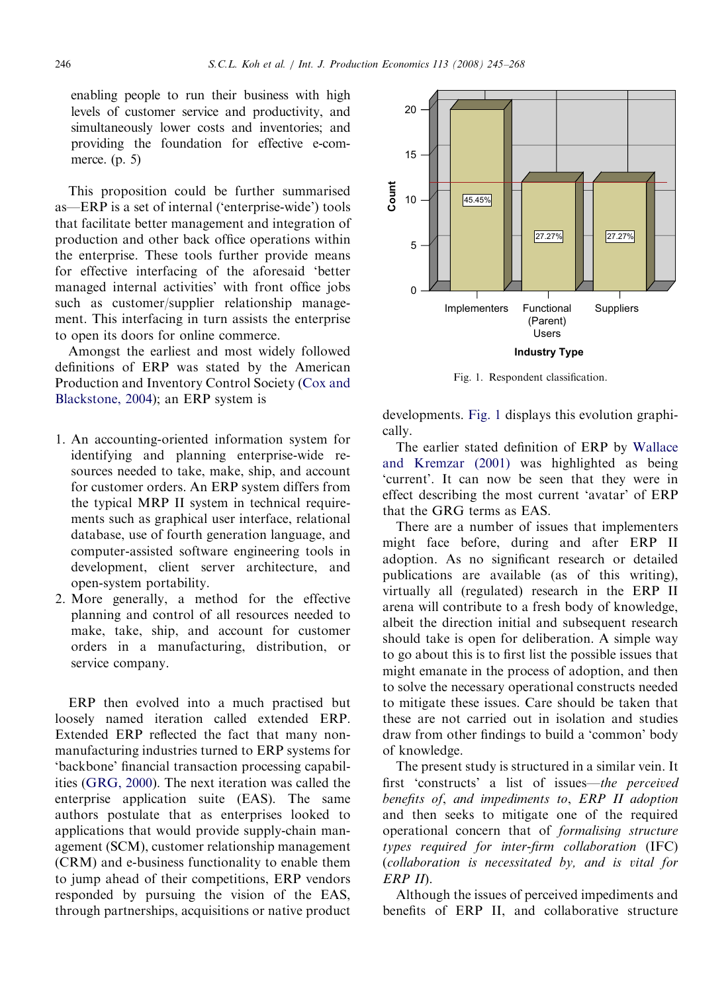enabling people to run their business with high levels of customer service and productivity, and simultaneously lower costs and inventories; and providing the foundation for effective e-commerce. (p. 5)

This proposition could be further summarised as—ERP is a set of internal ('enterprise-wide') tools that facilitate better management and integration of production and other back office operations within the enterprise. These tools further provide means for effective interfacing of the aforesaid 'better managed internal activities' with front office jobs such as customer/supplier relationship management. This interfacing in turn assists the enterprise to open its doors for online commerce.

Amongst the earliest and most widely followed definitions of ERP was stated by the American Production and Inventory Control Society [\(Cox and](#page--1-0) [Blackstone, 2004\)](#page--1-0); an ERP system is

- 1. An accounting-oriented information system for identifying and planning enterprise-wide resources needed to take, make, ship, and account for customer orders. An ERP system differs from the typical MRP II system in technical requirements such as graphical user interface, relational database, use of fourth generation language, and computer-assisted software engineering tools in development, client server architecture, and open-system portability.
- 2. More generally, a method for the effective planning and control of all resources needed to make, take, ship, and account for customer orders in a manufacturing, distribution, or service company.

ERP then evolved into a much practised but loosely named iteration called extended ERP. Extended ERP reflected the fact that many nonmanufacturing industries turned to ERP systems for 'backbone' financial transaction processing capabilities [\(GRG, 2000](#page--1-0)). The next iteration was called the enterprise application suite (EAS). The same authors postulate that as enterprises looked to applications that would provide supply-chain management (SCM), customer relationship management (CRM) and e-business functionality to enable them to jump ahead of their competitions, ERP vendors responded by pursuing the vision of the EAS, through partnerships, acquisitions or native product



Fig. 1. Respondent classification.

developments. Fig. 1 displays this evolution graphically.

The earlier stated definition of ERP by [Wallace](#page--1-0) [and Kremzar \(2001\)](#page--1-0) was highlighted as being 'current'. It can now be seen that they were in effect describing the most current 'avatar' of ERP that the GRG terms as EAS.

There are a number of issues that implementers might face before, during and after ERP II adoption. As no significant research or detailed publications are available (as of this writing), virtually all (regulated) research in the ERP II arena will contribute to a fresh body of knowledge, albeit the direction initial and subsequent research should take is open for deliberation. A simple way to go about this is to first list the possible issues that might emanate in the process of adoption, and then to solve the necessary operational constructs needed to mitigate these issues. Care should be taken that these are not carried out in isolation and studies draw from other findings to build a 'common' body of knowledge.

The present study is structured in a similar vein. It first 'constructs' a list of issues—the perceived benefits of, and impediments to, ERP II adoption and then seeks to mitigate one of the required operational concern that of formalising structure types required for inter-firm collaboration (IFC) (collaboration is necessitated by, and is vital for  $ERP$  *II* $\Omega$ .

Although the issues of perceived impediments and benefits of ERP II, and collaborative structure